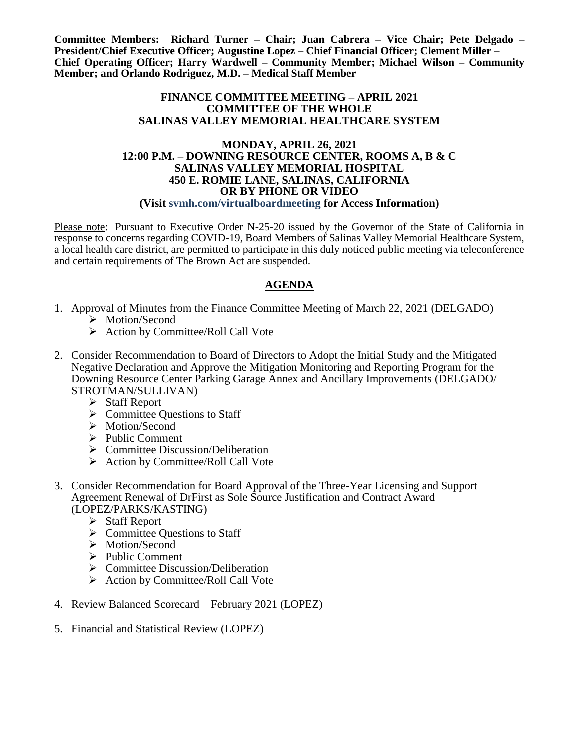**Committee Members: Richard Turner – Chair; Juan Cabrera – Vice Chair; Pete Delgado – President/Chief Executive Officer; Augustine Lopez – Chief Financial Officer; Clement Miller – Chief Operating Officer; Harry Wardwell – Community Member; Michael Wilson – Community Member; and Orlando Rodriguez, M.D. – Medical Staff Member**

### **FINANCE COMMITTEE MEETING – APRIL 2021 COMMITTEE OF THE WHOLE SALINAS VALLEY MEMORIAL HEALTHCARE SYSTEM**

#### **MONDAY, APRIL 26, 2021 12:00 P.M. – DOWNING RESOURCE CENTER, ROOMS A, B & C SALINAS VALLEY MEMORIAL HOSPITAL 450 E. ROMIE LANE, SALINAS, CALIFORNIA OR BY PHONE OR VIDEO (Visit svmh.com/virtualboardmeeting for Access Information)**

Please note: Pursuant to Executive Order N-25-20 issued by the Governor of the State of California in response to concerns regarding COVID-19, Board Members of Salinas Valley Memorial Healthcare System, a local health care district, are permitted to participate in this duly noticed public meeting via teleconference and certain requirements of The Brown Act are suspended.

### **AGENDA**

- 1. Approval of Minutes from the Finance Committee Meeting of March 22, 2021 (DELGADO) > Motion/Second
	- $\triangleright$  Action by Committee/Roll Call Vote
- 2. Consider Recommendation to Board of Directors to Adopt the Initial Study and the Mitigated Negative Declaration and Approve the Mitigation Monitoring and Reporting Program for the Downing Resource Center Parking Garage Annex and Ancillary Improvements (DELGADO/ STROTMAN/SULLIVAN)
	- $\triangleright$  Staff Report
	- $\triangleright$  Committee Ouestions to Staff
	- > Motion/Second
	- $\triangleright$  Public Comment
	- $\triangleright$  Committee Discussion/Deliberation
	- ▶ Action by Committee/Roll Call Vote
- 3. Consider Recommendation for Board Approval of the Three-Year Licensing and Support Agreement Renewal of DrFirst as Sole Source Justification and Contract Award (LOPEZ/PARKS/KASTING)
	- $\triangleright$  Staff Report
	- $\triangleright$  Committee Questions to Staff
	- > Motion/Second
	- $\triangleright$  Public Comment
	- $\triangleright$  Committee Discussion/Deliberation
	- $\triangleright$  Action by Committee/Roll Call Vote
- 4. Review Balanced Scorecard February 2021 (LOPEZ)
- 5. Financial and Statistical Review (LOPEZ)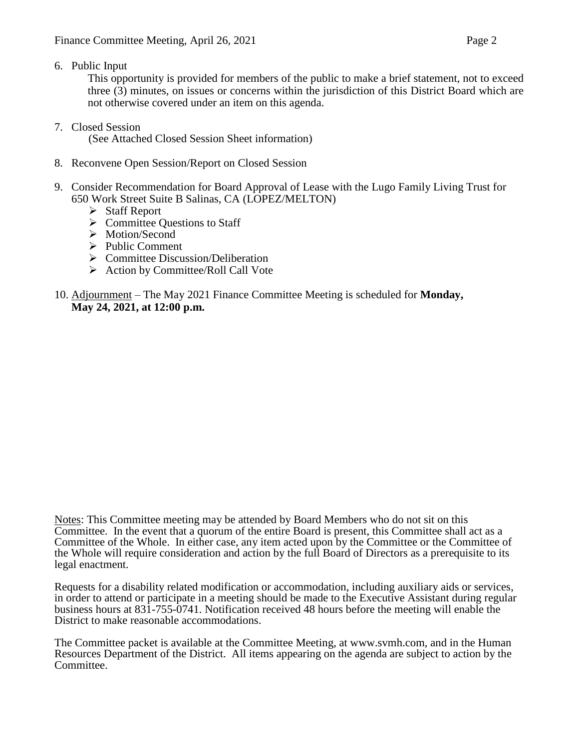6. Public Input

This opportunity is provided for members of the public to make a brief statement, not to exceed three (3) minutes, on issues or concerns within the jurisdiction of this District Board which are not otherwise covered under an item on this agenda.

7. Closed Session

(See Attached Closed Session Sheet information)

- 8. Reconvene Open Session/Report on Closed Session
- 9. Consider Recommendation for Board Approval of Lease with the Lugo Family Living Trust for 650 Work Street Suite B Salinas, CA (LOPEZ/MELTON)
	- $\triangleright$  Staff Report
	- $\triangleright$  Committee Questions to Staff
	- > Motion/Second
	- $\triangleright$  Public Comment
	- $\triangleright$  Committee Discussion/Deliberation
	- $\triangleright$  Action by Committee/Roll Call Vote
- 10. Adjournment The May 2021 Finance Committee Meeting is scheduled for **Monday, May 24, 2021, at 12:00 p.m.**

Notes: This Committee meeting may be attended by Board Members who do not sit on this Committee. In the event that a quorum of the entire Board is present, this Committee shall act as a Committee of the Whole. In either case, any item acted upon by the Committee or the Committee of the Whole will require consideration and action by the full Board of Directors as a prerequisite to its legal enactment.

Requests for a disability related modification or accommodation, including auxiliary aids or services, in order to attend or participate in a meeting should be made to the Executive Assistant during regular business hours at 831-755-0741. Notification received 48 hours before the meeting will enable the District to make reasonable accommodations.

The Committee packet is available at the Committee Meeting, at www.svmh.com, and in the Human Resources Department of the District. All items appearing on the agenda are subject to action by the Committee.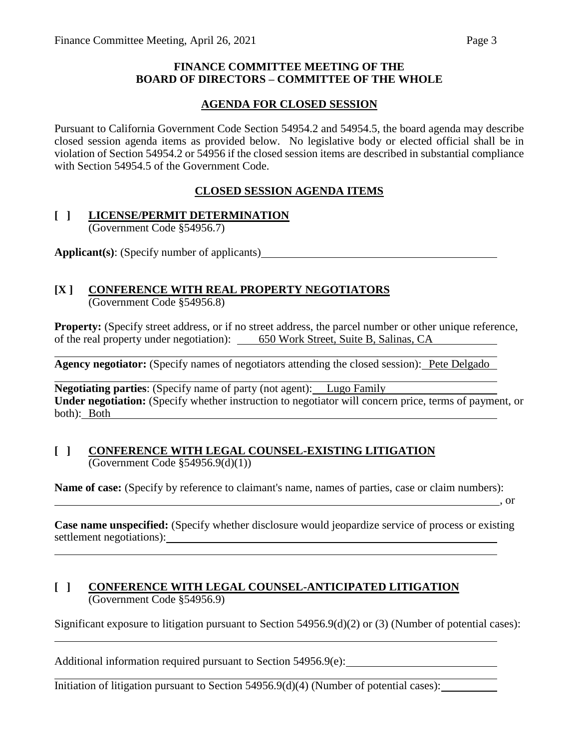### **FINANCE COMMITTEE MEETING OF THE BOARD OF DIRECTORS – COMMITTEE OF THE WHOLE**

## **AGENDA FOR CLOSED SESSION**

Pursuant to California Government Code Section 54954.2 and 54954.5, the board agenda may describe closed session agenda items as provided below. No legislative body or elected official shall be in violation of Section 54954.2 or 54956 if the closed session items are described in substantial compliance with Section 54954.5 of the Government Code.

### **CLOSED SESSION AGENDA ITEMS**

### **[ ] LICENSE/PERMIT DETERMINATION** (Government Code §54956.7)

**Applicant(s)**: (Specify number of applicants)

### **[X ] CONFERENCE WITH REAL PROPERTY NEGOTIATORS** (Government Code §54956.8)

**Property:** (Specify street address, or if no street address, the parcel number or other unique reference, of the real property under negotiation): 650 Work Street, Suite B, Salinas, CA

**Agency negotiator:** (Specify names of negotiators attending the closed session): Pete Delgado

**Negotiating parties:** (Specify name of party (not agent): Lugo Family **Under negotiation:** (Specify whether instruction to negotiator will concern price, terms of payment, or both): Both

### **[ ] CONFERENCE WITH LEGAL COUNSEL-EXISTING LITIGATION** (Government Code §54956.9(d)(1))

**Name of case:** (Specify by reference to claimant's name, names of parties, case or claim numbers):

 $\overline{\phantom{a}}$ , or

**Case name unspecified:** (Specify whether disclosure would jeopardize service of process or existing settlement negotiations): example and the settlement negotiations):

### **[ ] CONFERENCE WITH LEGAL COUNSEL-ANTICIPATED LITIGATION** (Government Code §54956.9)

Significant exposure to litigation pursuant to Section 54956.9(d)(2) or (3) (Number of potential cases):

Additional information required pursuant to Section 54956.9(e):

Initiation of litigation pursuant to Section  $54956.9(d)(4)$  (Number of potential cases):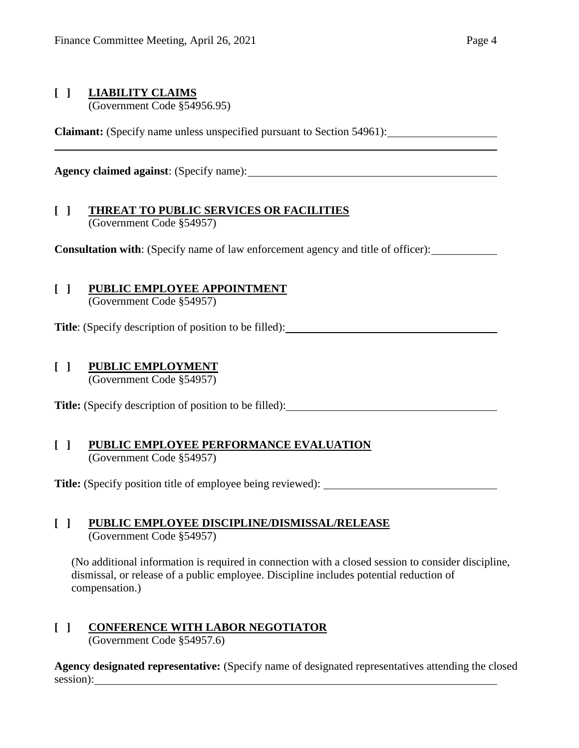## **[ ] LIABILITY CLAIMS**

(Government Code §54956.95)

**Claimant:** (Specify name unless unspecified pursuant to Section 54961):

**Agency claimed against**: (Specify name):

## **[ ] THREAT TO PUBLIC SERVICES OR FACILITIES** (Government Code §54957)

**Consultation with:** (Specify name of law enforcement agency and title of officer):

# **[ ] PUBLIC EMPLOYEE APPOINTMENT**

(Government Code §54957)

**Title**: (Specify description of position to be filled):

# **[ ] PUBLIC EMPLOYMENT**

(Government Code §54957)

**Title:** (Specify description of position to be filled):

### **[ ] PUBLIC EMPLOYEE PERFORMANCE EVALUATION** (Government Code §54957)

**Title:** (Specify position title of employee being reviewed):

## **[ ] PUBLIC EMPLOYEE DISCIPLINE/DISMISSAL/RELEASE** (Government Code §54957)

(No additional information is required in connection with a closed session to consider discipline, dismissal, or release of a public employee. Discipline includes potential reduction of compensation.)

# **[ ] CONFERENCE WITH LABOR NEGOTIATOR**

(Government Code §54957.6)

**Agency designated representative:** (Specify name of designated representatives attending the closed session):